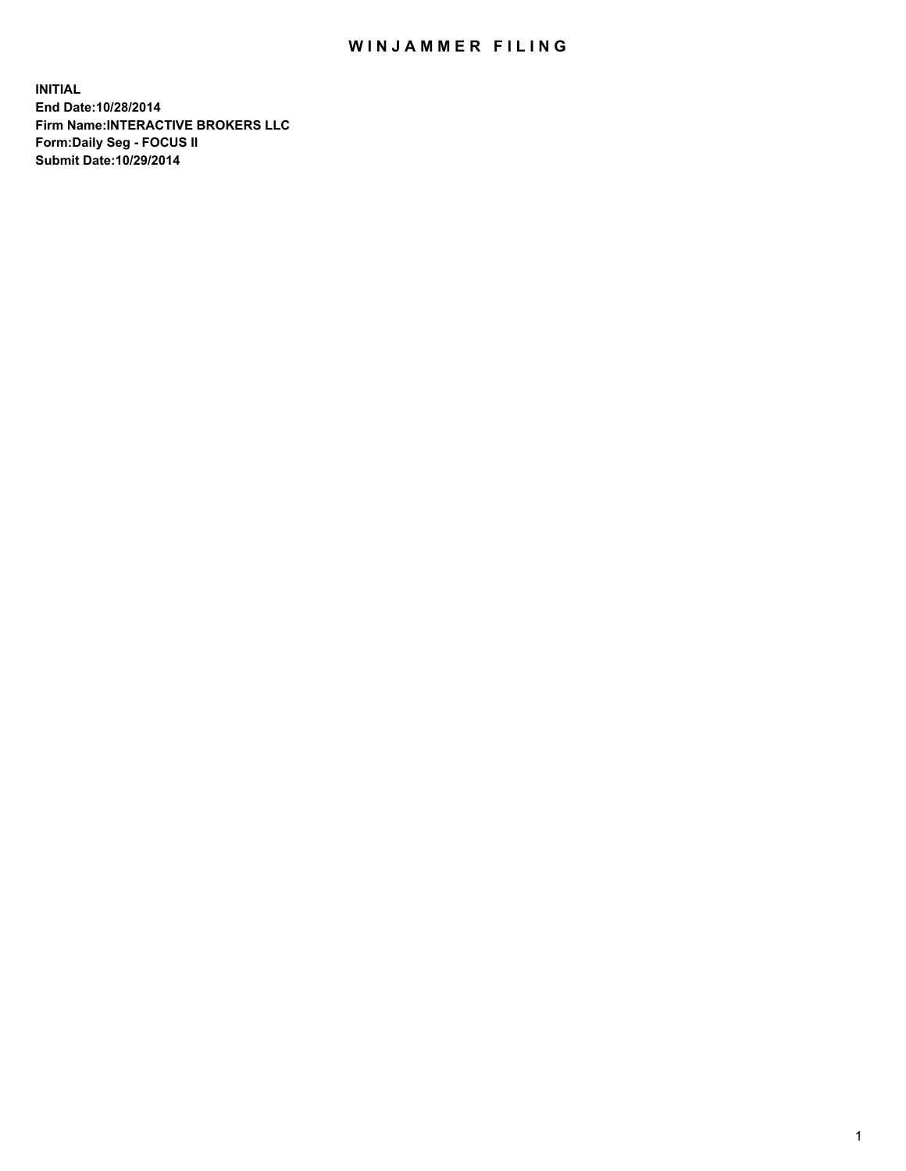## WIN JAMMER FILING

**INITIAL End Date:10/28/2014 Firm Name:INTERACTIVE BROKERS LLC Form:Daily Seg - FOCUS II Submit Date:10/29/2014**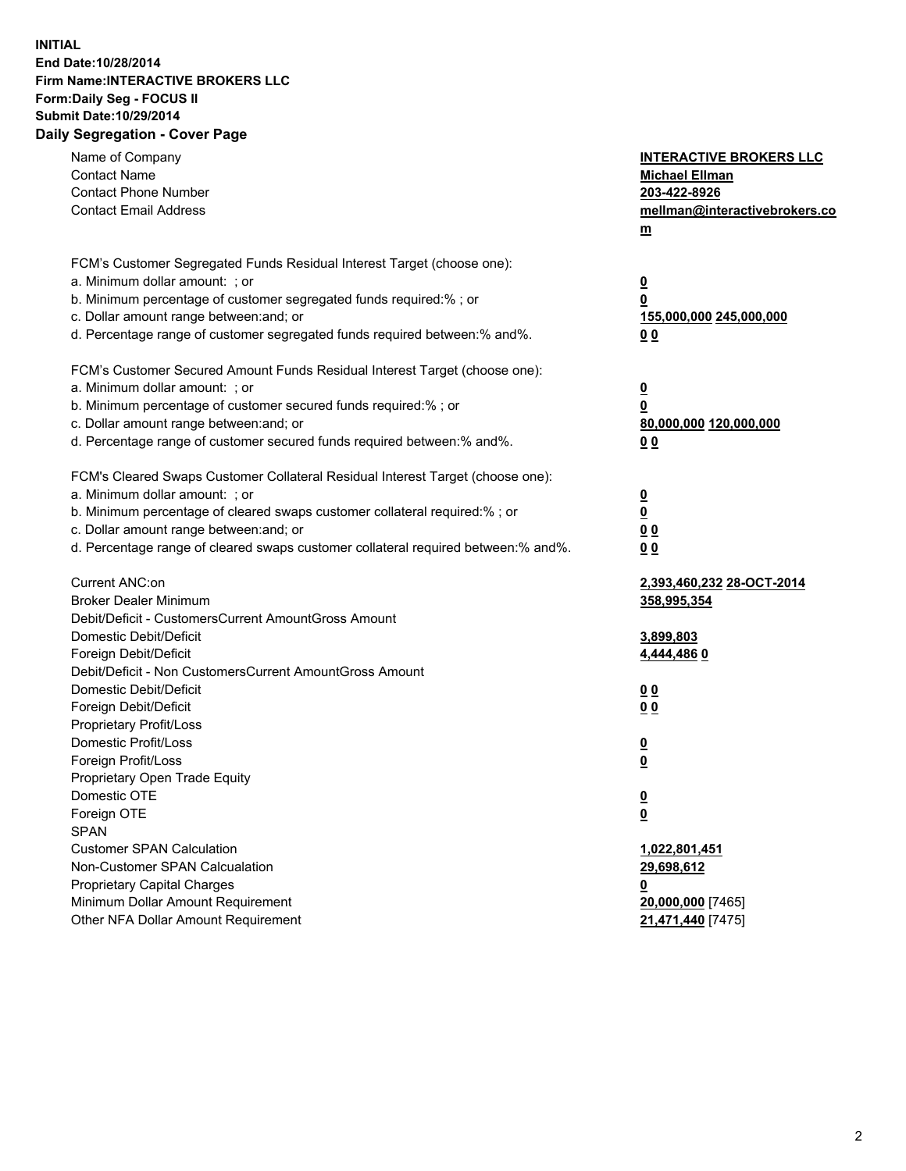## **INITIAL End Date:10/28/2014 Firm Name:INTERACTIVE BROKERS LLC Form:Daily Seg - FOCUS II Submit Date:10/29/2014 Daily Segregation - Cover Page**

| Name of Company<br><b>Contact Name</b><br><b>Contact Phone Number</b><br><b>Contact Email Address</b>                                                                                                                                                                                                                          | <b>INTERACTIVE BROKERS LLC</b><br><b>Michael Ellman</b><br>203-422-8926<br>mellman@interactivebrokers.co<br>$m$ |
|--------------------------------------------------------------------------------------------------------------------------------------------------------------------------------------------------------------------------------------------------------------------------------------------------------------------------------|-----------------------------------------------------------------------------------------------------------------|
| FCM's Customer Segregated Funds Residual Interest Target (choose one):<br>a. Minimum dollar amount: ; or<br>b. Minimum percentage of customer segregated funds required:% ; or<br>c. Dollar amount range between: and; or<br>d. Percentage range of customer segregated funds required between:% and%.                         | <u>0</u><br>0<br>155,000,000 245,000,000<br>0 <sub>0</sub>                                                      |
| FCM's Customer Secured Amount Funds Residual Interest Target (choose one):<br>a. Minimum dollar amount: ; or<br>b. Minimum percentage of customer secured funds required:% ; or<br>c. Dollar amount range between: and; or<br>d. Percentage range of customer secured funds required between:% and%.                           | <u>0</u><br>0<br>80,000,000 120,000,000<br>0 <sub>0</sub>                                                       |
| FCM's Cleared Swaps Customer Collateral Residual Interest Target (choose one):<br>a. Minimum dollar amount: ; or<br>b. Minimum percentage of cleared swaps customer collateral required:% ; or<br>c. Dollar amount range between: and; or<br>d. Percentage range of cleared swaps customer collateral required between:% and%. | $\overline{\mathbf{0}}$<br><u>0</u><br>0 <sub>0</sub><br>0 <sub>0</sub>                                         |
| Current ANC:on<br><b>Broker Dealer Minimum</b><br>Debit/Deficit - CustomersCurrent AmountGross Amount<br>Domestic Debit/Deficit                                                                                                                                                                                                | 2,393,460,232 28-OCT-2014<br>358,995,354<br>3,899,803                                                           |
| Foreign Debit/Deficit<br>Debit/Deficit - Non CustomersCurrent AmountGross Amount<br>Domestic Debit/Deficit<br>Foreign Debit/Deficit<br>Proprietary Profit/Loss<br>Domestic Profit/Loss                                                                                                                                         | 4,444,4860<br>0 <sub>0</sub><br>0 <sub>0</sub><br><u>0</u>                                                      |
| Foreign Profit/Loss<br>Proprietary Open Trade Equity<br>Domestic OTE<br>Foreign OTE<br><b>SPAN</b>                                                                                                                                                                                                                             | <u>0</u><br><u>0</u><br><u>0</u>                                                                                |
| <b>Customer SPAN Calculation</b><br>Non-Customer SPAN Calcualation<br><b>Proprietary Capital Charges</b><br>Minimum Dollar Amount Requirement<br>Other NFA Dollar Amount Requirement                                                                                                                                           | 1,022,801,451<br>29,698,612<br><u>0</u><br>20,000,000 [7465]<br>21,471,440 [7475]                               |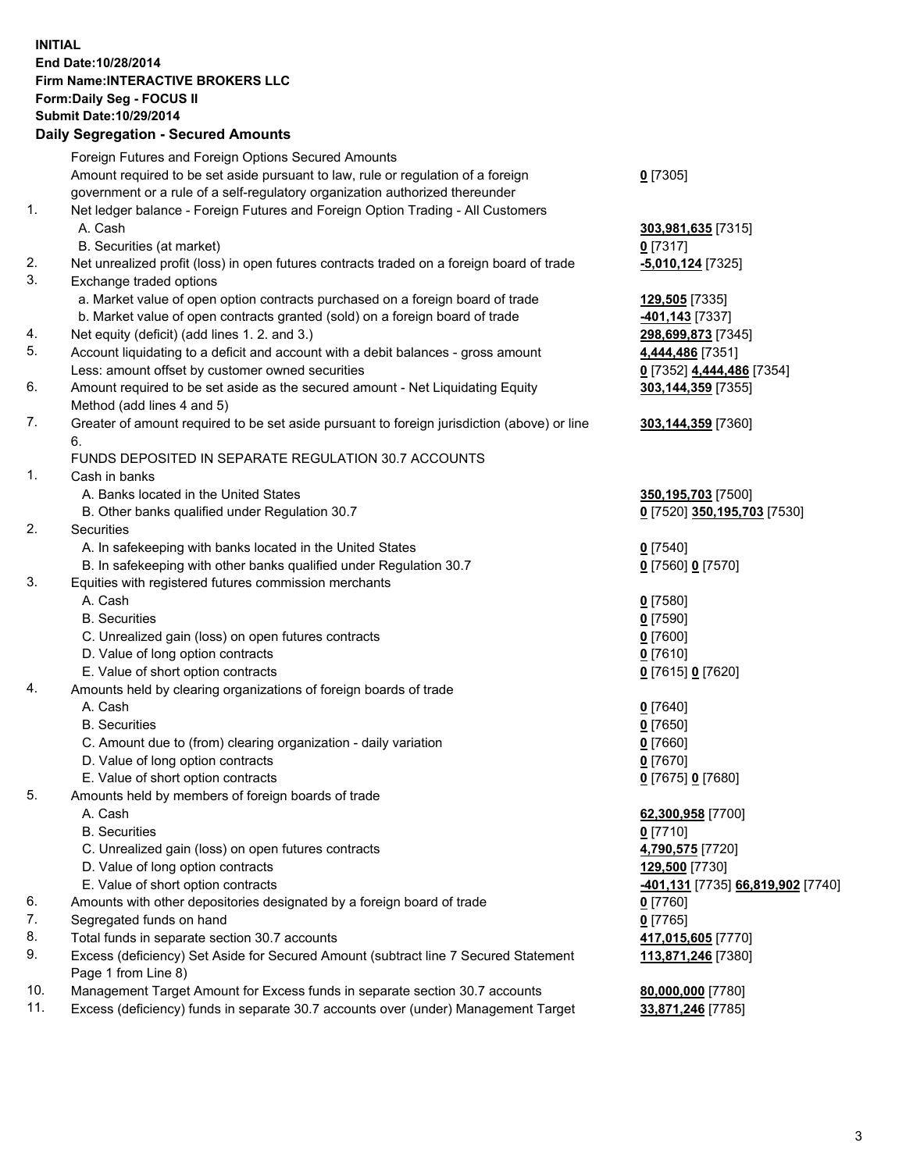## **INITIAL End Date:10/28/2014 Firm Name:INTERACTIVE BROKERS LLC Form:Daily Seg - FOCUS II Submit Date:10/29/2014 Daily Segregation - Secured Amounts**

|     | Foreign Futures and Foreign Options Secured Amounts                                                          |                                                 |
|-----|--------------------------------------------------------------------------------------------------------------|-------------------------------------------------|
|     | Amount required to be set aside pursuant to law, rule or regulation of a foreign                             | $0$ [7305]                                      |
|     | government or a rule of a self-regulatory organization authorized thereunder                                 |                                                 |
| 1.  | Net ledger balance - Foreign Futures and Foreign Option Trading - All Customers                              |                                                 |
|     | A. Cash                                                                                                      | 303,981,635 [7315]                              |
|     | B. Securities (at market)                                                                                    | $0$ [7317]                                      |
| 2.  | Net unrealized profit (loss) in open futures contracts traded on a foreign board of trade                    | -5,010,124 [7325]                               |
| 3.  | Exchange traded options                                                                                      |                                                 |
|     | a. Market value of open option contracts purchased on a foreign board of trade                               | 129,505 [7335]                                  |
|     | b. Market value of open contracts granted (sold) on a foreign board of trade                                 | <u>-401,143</u> [7337]                          |
| 4.  | Net equity (deficit) (add lines 1.2. and 3.)                                                                 | 298,699,873 [7345]                              |
| 5.  | Account liquidating to a deficit and account with a debit balances - gross amount                            | 4,444,486 [7351]                                |
|     | Less: amount offset by customer owned securities                                                             | 0 [7352] 4,444,486 [7354]                       |
| 6.  | Amount required to be set aside as the secured amount - Net Liquidating Equity                               | 303,144,359 [7355]                              |
|     | Method (add lines 4 and 5)                                                                                   |                                                 |
| 7.  | Greater of amount required to be set aside pursuant to foreign jurisdiction (above) or line                  | 303,144,359 [7360]                              |
|     | 6.                                                                                                           |                                                 |
|     | FUNDS DEPOSITED IN SEPARATE REGULATION 30.7 ACCOUNTS                                                         |                                                 |
| 1.  | Cash in banks                                                                                                |                                                 |
|     | A. Banks located in the United States                                                                        | 350, 195, 703 [7500]                            |
|     | B. Other banks qualified under Regulation 30.7                                                               | 0 [7520] 350,195,703 [7530]                     |
| 2.  | Securities                                                                                                   |                                                 |
|     | A. In safekeeping with banks located in the United States                                                    | $0$ [7540]                                      |
|     | B. In safekeeping with other banks qualified under Regulation 30.7                                           | 0 [7560] 0 [7570]                               |
| 3.  | Equities with registered futures commission merchants                                                        |                                                 |
|     | A. Cash                                                                                                      | $0$ [7580]                                      |
|     | <b>B.</b> Securities                                                                                         | $0$ [7590]                                      |
|     | C. Unrealized gain (loss) on open futures contracts                                                          | $0$ [7600]                                      |
|     | D. Value of long option contracts                                                                            | $0$ [7610]                                      |
|     | E. Value of short option contracts                                                                           | 0 [7615] 0 [7620]                               |
| 4.  | Amounts held by clearing organizations of foreign boards of trade                                            |                                                 |
|     | A. Cash                                                                                                      | $0$ [7640]                                      |
|     | <b>B.</b> Securities                                                                                         | $0$ [7650]                                      |
|     | C. Amount due to (from) clearing organization - daily variation                                              | $0$ [7660]                                      |
|     | D. Value of long option contracts                                                                            | $0$ [7670]                                      |
|     | E. Value of short option contracts                                                                           | 0 [7675] 0 [7680]                               |
| 5.  | Amounts held by members of foreign boards of trade                                                           |                                                 |
|     | A. Cash<br><b>B.</b> Securities                                                                              | 62,300,958 [7700]                               |
|     |                                                                                                              | $0$ [7710]                                      |
|     | C. Unrealized gain (loss) on open futures contracts                                                          | 4,790,575 [7720]                                |
|     | D. Value of long option contracts                                                                            | 129,500 [7730]                                  |
| 6.  | E. Value of short option contracts<br>Amounts with other depositories designated by a foreign board of trade | <u>-401,131</u> [7735] <b>66,819,902</b> [7740] |
| 7.  | Segregated funds on hand                                                                                     | $0$ [7760]<br>$0$ [7765]                        |
| 8.  | Total funds in separate section 30.7 accounts                                                                |                                                 |
| 9.  |                                                                                                              | 417,015,605 [7770]                              |
|     | Excess (deficiency) Set Aside for Secured Amount (subtract line 7 Secured Statement<br>Page 1 from Line 8)   | 113,871,246 [7380]                              |
| 10. | Management Target Amount for Excess funds in separate section 30.7 accounts                                  | 80,000,000 [7780]                               |
| 11. | Excess (deficiency) funds in separate 30.7 accounts over (under) Management Target                           | 33,871,246 [7785]                               |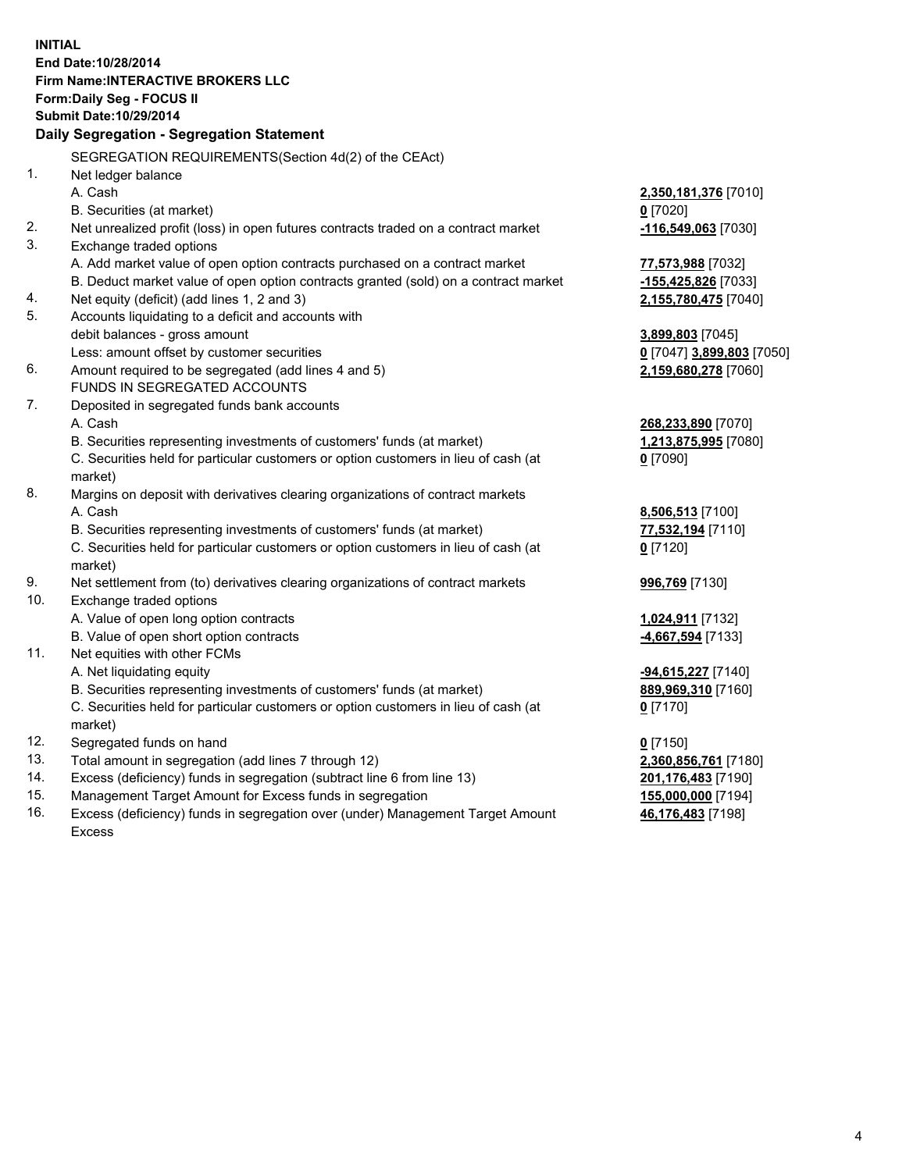**INITIAL End Date:10/28/2014 Firm Name:INTERACTIVE BROKERS LLC Form:Daily Seg - FOCUS II Submit Date:10/29/2014 Daily Segregation - Segregation Statement** SEGREGATION REQUIREMENTS(Section 4d(2) of the CEAct) 1. Net ledger balance A. Cash **2,350,181,376** [7010] B. Securities (at market) **0** [7020] 2. Net unrealized profit (loss) in open futures contracts traded on a contract market **-116,549,063** [7030] 3. Exchange traded options A. Add market value of open option contracts purchased on a contract market **77,573,988** [7032] B. Deduct market value of open option contracts granted (sold) on a contract market **-155,425,826** [7033] 4. Net equity (deficit) (add lines 1, 2 and 3) **2,155,780,475** [7040] 5. Accounts liquidating to a deficit and accounts with debit balances - gross amount **3,899,803** [7045] Less: amount offset by customer securities **0** [7047] **3,899,803** [7050] 6. Amount required to be segregated (add lines 4 and 5) **2,159,680,278** [7060] FUNDS IN SEGREGATED ACCOUNTS 7. Deposited in segregated funds bank accounts A. Cash **268,233,890** [7070] B. Securities representing investments of customers' funds (at market) **1,213,875,995** [7080] C. Securities held for particular customers or option customers in lieu of cash (at market) **0** [7090] 8. Margins on deposit with derivatives clearing organizations of contract markets A. Cash **8,506,513** [7100] B. Securities representing investments of customers' funds (at market) **77,532,194** [7110] C. Securities held for particular customers or option customers in lieu of cash (at market) **0** [7120] 9. Net settlement from (to) derivatives clearing organizations of contract markets **996,769** [7130] 10. Exchange traded options A. Value of open long option contracts **1,024,911** [7132] B. Value of open short option contracts **-4,667,594** [7133] 11. Net equities with other FCMs A. Net liquidating equity **-94,615,227** [7140] B. Securities representing investments of customers' funds (at market) **889,969,310** [7160] C. Securities held for particular customers or option customers in lieu of cash (at market) **0** [7170] 12. Segregated funds on hand **0** [7150] 13. Total amount in segregation (add lines 7 through 12) **2,360,856,761** [7180] 14. Excess (deficiency) funds in segregation (subtract line 6 from line 13) **201,176,483** [7190] 15. Management Target Amount for Excess funds in segregation **155,000,000** [7194]

16. Excess (deficiency) funds in segregation over (under) Management Target Amount Excess

**46,176,483** [7198]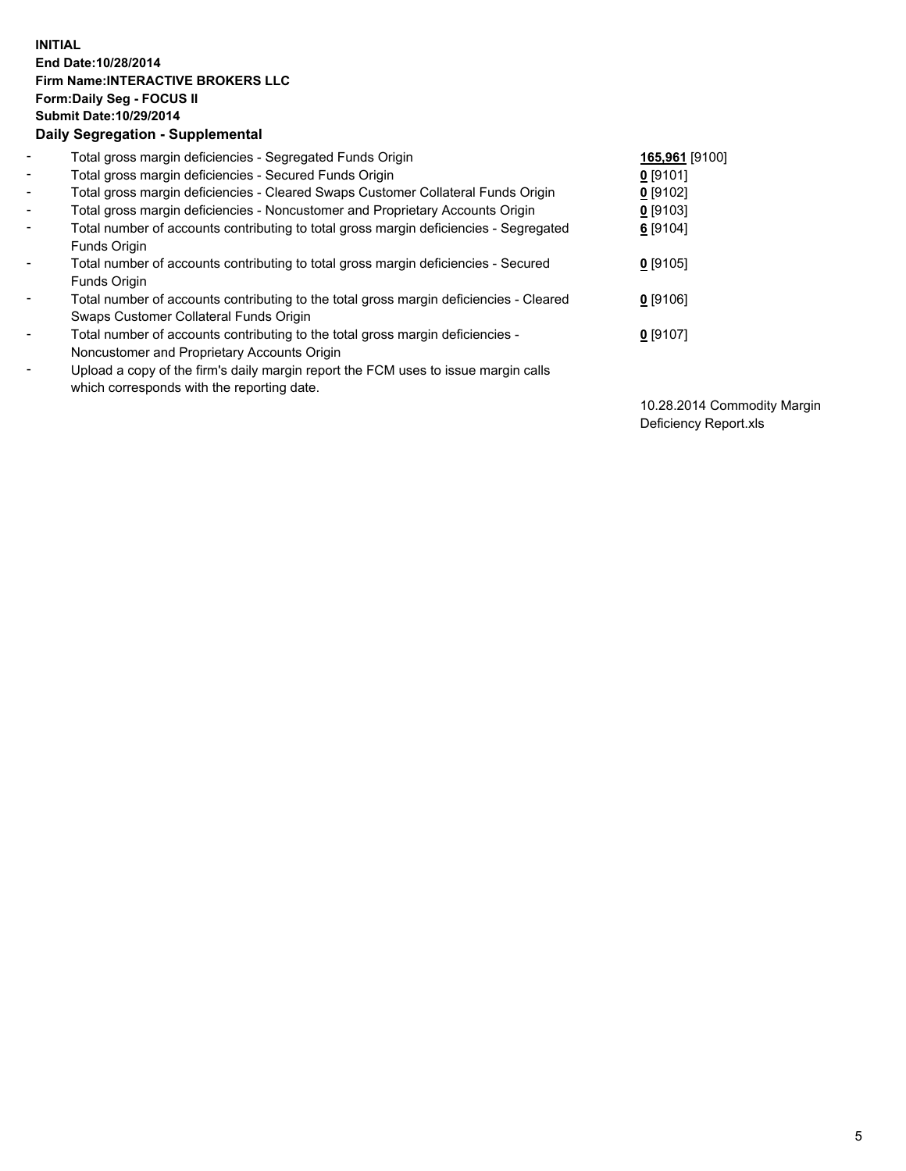## **INITIAL End Date:10/28/2014 Firm Name:INTERACTIVE BROKERS LLC Form:Daily Seg - FOCUS II Submit Date:10/29/2014 Daily Segregation - Supplemental**

| $\blacksquare$ | Total gross margin deficiencies - Segregated Funds Origin                                                                        | 165,961 [9100] |
|----------------|----------------------------------------------------------------------------------------------------------------------------------|----------------|
| $\sim$         | Total gross margin deficiencies - Secured Funds Origin                                                                           | $0$ [9101]     |
| $\blacksquare$ | Total gross margin deficiencies - Cleared Swaps Customer Collateral Funds Origin                                                 | 0 [9102]       |
| $\blacksquare$ | Total gross margin deficiencies - Noncustomer and Proprietary Accounts Origin                                                    | $0$ [9103]     |
| $\blacksquare$ | Total number of accounts contributing to total gross margin deficiencies - Segregated<br>Funds Origin                            | 6 [9104]       |
| $\blacksquare$ | Total number of accounts contributing to total gross margin deficiencies - Secured<br>Funds Origin                               | $0$ [9105]     |
| $\blacksquare$ | Total number of accounts contributing to the total gross margin deficiencies - Cleared<br>Swaps Customer Collateral Funds Origin | $0$ [9106]     |
| $\blacksquare$ | Total number of accounts contributing to the total gross margin deficiencies -<br>Noncustomer and Proprietary Accounts Origin    | $0$ [9107]     |
| $\blacksquare$ | Upload a copy of the firm's daily margin report the FCM uses to issue margin calls<br>which corresponds with the reporting date. |                |

10.28.2014 Commodity Margin Deficiency Report.xls